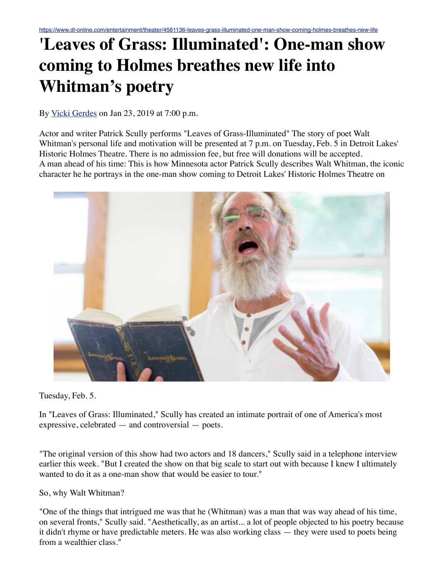## **'Leaves of Grass: Illuminated': One-man show coming to Holmes breathes new life into Whitman's poetry**

By [Vicki Gerdes](https://www.dl-online.com/users/vicki-gerdes) on Jan 23, 2019 at 7:00 p.m.

Actor and writer Patrick Scully performs "Leaves of Grass-Illuminated" The story of poet Walt Whitman's personal life and motivation will be presented at 7 p.m. on Tuesday, Feb. 5 in Detroit Lakes' Historic Holmes Theatre. There is no admission fee, but free will donations will be accepted. A man ahead of his time: This is how Minnesota actor Patrick Scully describes Walt Whitman, the iconic character he he portrays in the one-man show coming to Detroit Lakes' Historic Holmes Theatre on



Tuesday, Feb. 5.

In "Leaves of Grass: Illuminated," Scully has created an intimate portrait of one of America's most expressive, celebrated — and controversial — poets.

"The original version of this show had two actors and 18 dancers," Scully said in a telephone interview earlier this week. "But I created the show on that big scale to start out with because I knew I ultimately wanted to do it as a one-man show that would be easier to tour."

So, why Walt Whitman?

"One of the things that intrigued me was that he (Whitman) was a man that was way ahead of his time, on several fronts," Scully said. "Aesthetically, as an artist... a lot of people objected to his poetry because it didn't rhyme or have predictable meters. He was also working class — they were used to poets being from a wealthier class."